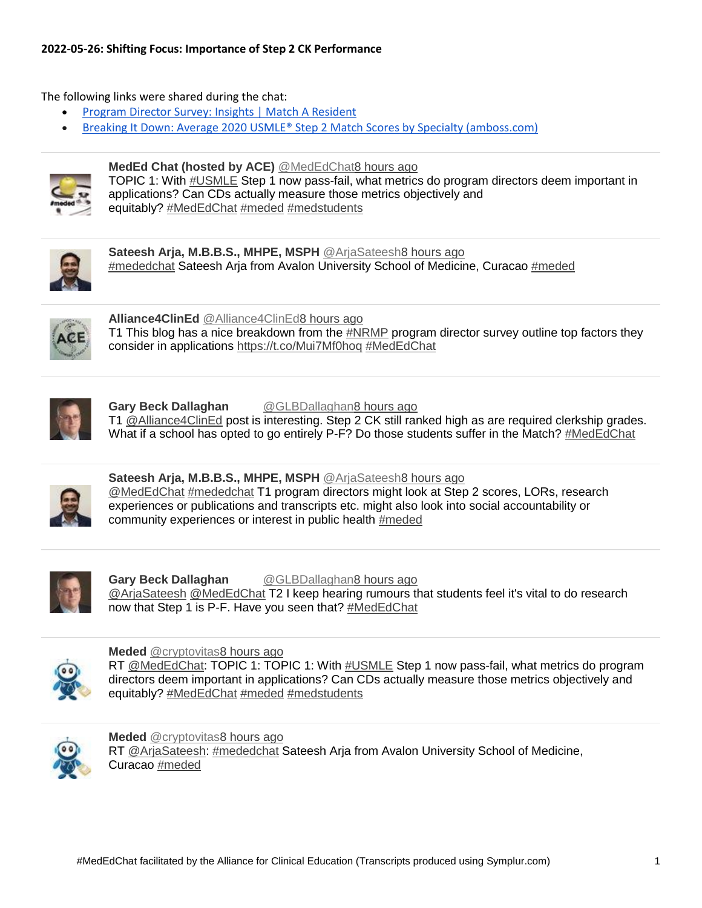#### **2022-05-26: Shifting Focus: Importance of Step 2 CK Performance**

The following links were shared during the chat:

- [Program Director Survey: Insights | Match A Resident](https://blog.matcharesident.com/nrmp-program-director-survey-2021/)
- [Breaking It Down: Average 2020 USMLE® Step 2 Match Scores by Specialty \(amboss.com\)](https://blog.amboss.com/us/average-2020-usmle-step-2-match-scores-by-specialty)



### **MedEd Chat (hosted by ACE)** [@MedEdChat8 hours ago](https://twitter.com/intent/user?screen_name=MedEdChat)

- TOPIC 1: With [#USMLE](https://www.symplur.com/healthcare-hashtags/USMLE/) Step 1 now pass-fail, what metrics do program directors deem important in
- applications? Can CDs actually measure those metrics objectively and
	- equitably? [#MedEdChat](https://www.symplur.com/healthcare-hashtags/MedEdChat/) [#meded](https://www.symplur.com/healthcare-hashtags/meded/) [#medstudents](https://www.symplur.com/healthcare-hashtags/medstudents/)



**Sateesh Arja, M.B.B.S., MHPE, MSPH** [@ArjaSateesh8 hours ago](https://twitter.com/intent/user?screen_name=ArjaSateesh) [#mededchat](https://www.symplur.com/healthcare-hashtags/mededchat/) Sateesh Arja from Avalon University School of Medicine, Curacao [#meded](https://www.symplur.com/healthcare-hashtags/meded/)



**Alliance4ClinEd** [@Alliance4ClinEd8 hours ago](https://twitter.com/intent/user?screen_name=Alliance4ClinEd) T1 This blog has a nice breakdown from the [#NRMP](https://twitter.com/hashtag/NRMP/) program director survey outline top factors they consider in applications <https://t.co/Mui7Mf0hoq> [#MedEdChat](https://www.symplur.com/healthcare-hashtags/MedEdChat/)



## **Gary Beck Dallaghan** [@GLBDallaghan8 hours ago](https://twitter.com/intent/user?screen_name=GLBDallaghan)

T1 [@Alliance4ClinEd](http://www.twitter.com/intent/user?screen_name=Alliance4ClinEd) post is interesting. Step 2 CK still ranked high as are required clerkship grades. What if a school has opted to go entirely P-F? Do those students suffer in the Match? [#MedEdChat](https://www.symplur.com/healthcare-hashtags/MedEdChat/)



#### **Sateesh Arja, M.B.B.S., MHPE, MSPH** [@ArjaSateesh8 hours ago](https://twitter.com/intent/user?screen_name=ArjaSateesh) [@MedEdChat](http://www.twitter.com/intent/user?screen_name=MedEdChat) [#mededchat](https://www.symplur.com/healthcare-hashtags/mededchat/) T1 program directors might look at Step 2 scores, LORs, research experiences or publications and transcripts etc. might also look into social accountability or community experiences or interest in public health [#meded](https://www.symplur.com/healthcare-hashtags/meded/)



#### **Gary Beck Dallaghan** [@GLBDallaghan8 hours ago](https://twitter.com/intent/user?screen_name=GLBDallaghan) [@ArjaSateesh](http://www.twitter.com/intent/user?screen_name=ArjaSateesh) [@MedEdChat](http://www.twitter.com/intent/user?screen_name=MedEdChat) T2 I keep hearing rumours that students feel it's vital to do research now that Step 1 is P-F. Have you seen that? [#MedEdChat](https://www.symplur.com/healthcare-hashtags/MedEdChat/)



#### **Meded** [@cryptovitas8 hours ago](https://twitter.com/intent/user?screen_name=cryptovitas)

RT [@MedEdChat:](http://www.twitter.com/intent/user?screen_name=MedEdChat) TOPIC 1: TOPIC 1: With [#USMLE](https://www.symplur.com/healthcare-hashtags/USMLE/) Step 1 now pass-fail, what metrics do program directors deem important in applications? Can CDs actually measure those metrics objectively and equitably? [#MedEdChat](https://www.symplur.com/healthcare-hashtags/MedEdChat/) [#meded](https://www.symplur.com/healthcare-hashtags/meded/) [#medstudents](https://www.symplur.com/healthcare-hashtags/medstudents/)



#### **Meded** [@cryptovitas8 hours ago](https://twitter.com/intent/user?screen_name=cryptovitas) RT [@ArjaSateesh:](http://www.twitter.com/intent/user?screen_name=ArjaSateesh) [#mededchat](https://www.symplur.com/healthcare-hashtags/mededchat/) Sateesh Arja from Avalon University School of Medicine, Curacao [#meded](https://www.symplur.com/healthcare-hashtags/meded/)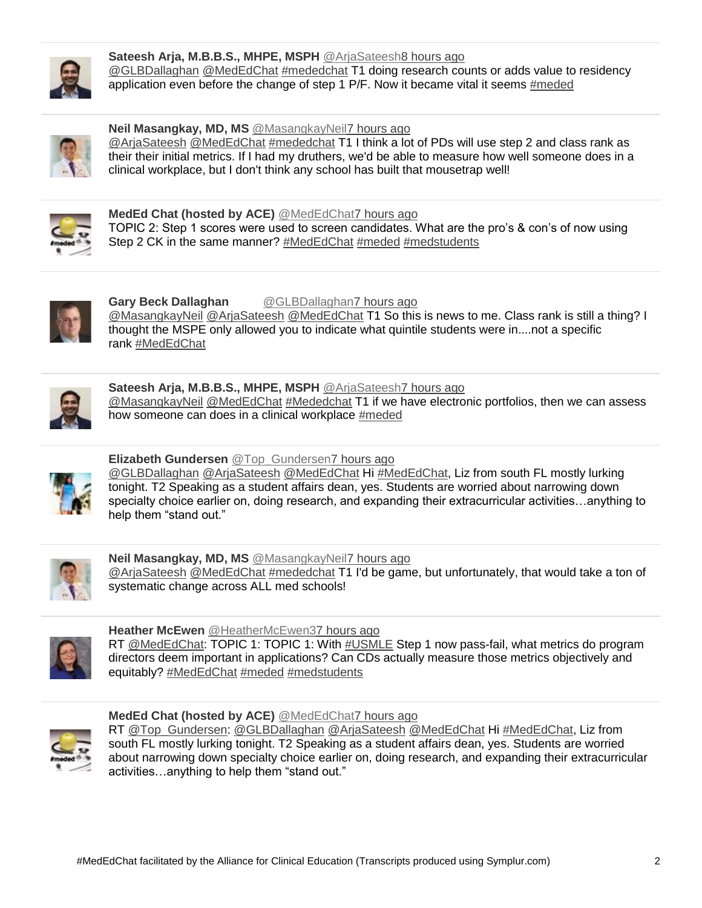

#### **Sateesh Arja, M.B.B.S., MHPE, MSPH** [@ArjaSateesh8 hours ago](https://twitter.com/intent/user?screen_name=ArjaSateesh) [@GLBDallaghan](http://www.twitter.com/intent/user?screen_name=GLBDallaghan) [@MedEdChat](http://www.twitter.com/intent/user?screen_name=MedEdChat) [#mededchat](https://www.symplur.com/healthcare-hashtags/mededchat/) T1 doing research counts or adds value to residency application even before the change of step 1 P/F. Now it became vital it seems [#meded](https://www.symplur.com/healthcare-hashtags/meded/)



### **Neil Masangkay, MD, MS** [@MasangkayNeil7 hours ago](https://twitter.com/intent/user?screen_name=MasangkayNeil)

[@ArjaSateesh](http://www.twitter.com/intent/user?screen_name=ArjaSateesh) [@MedEdChat](http://www.twitter.com/intent/user?screen_name=MedEdChat) [#mededchat](https://www.symplur.com/healthcare-hashtags/mededchat/) T1 I think a lot of PDs will use step 2 and class rank as their their initial metrics. If I had my druthers, we'd be able to measure how well someone does in a clinical workplace, but I don't think any school has built that mousetrap well!



**MedEd Chat (hosted by ACE)** [@MedEdChat7 hours ago](https://twitter.com/intent/user?screen_name=MedEdChat) TOPIC 2: Step 1 scores were used to screen candidates. What are the pro's & con's of now using Step 2 CK in the same manner? [#MedEdChat](https://www.symplur.com/healthcare-hashtags/MedEdChat/) [#meded](https://www.symplur.com/healthcare-hashtags/meded/) [#medstudents](https://www.symplur.com/healthcare-hashtags/medstudents/)



**Gary Beck Dallaghan** [@GLBDallaghan7 hours ago](https://twitter.com/intent/user?screen_name=GLBDallaghan) [@MasangkayNeil](http://www.twitter.com/intent/user?screen_name=MasangkayNeil) [@ArjaSateesh](http://www.twitter.com/intent/user?screen_name=ArjaSateesh) [@MedEdChat](http://www.twitter.com/intent/user?screen_name=MedEdChat) T1 So this is news to me. Class rank is still a thing? I thought the MSPE only allowed you to indicate what quintile students were in....not a specific rank [#MedEdChat](https://www.symplur.com/healthcare-hashtags/MedEdChat/)



## **Sateesh Arja, M.B.B.S., MHPE, MSPH** [@ArjaSateesh7 hours ago](https://twitter.com/intent/user?screen_name=ArjaSateesh)

[@MasangkayNeil](http://www.twitter.com/intent/user?screen_name=MasangkayNeil) [@MedEdChat](http://www.twitter.com/intent/user?screen_name=MedEdChat) [#Mededchat](https://www.symplur.com/healthcare-hashtags/Mededchat/) T1 if we have electronic portfolios, then we can assess how someone can does in a clinical workplace [#meded](https://www.symplur.com/healthcare-hashtags/meded/)



## **Elizabeth Gundersen** [@Top\\_Gundersen7 hours ago](https://twitter.com/intent/user?screen_name=Top_Gundersen)

[@GLBDallaghan](http://www.twitter.com/intent/user?screen_name=GLBDallaghan) [@ArjaSateesh](http://www.twitter.com/intent/user?screen_name=ArjaSateesh) [@MedEdChat](http://www.twitter.com/intent/user?screen_name=MedEdChat) Hi [#MedEdChat,](https://www.symplur.com/healthcare-hashtags/MedEdChat/) Liz from south FL mostly lurking tonight. T2 Speaking as a student affairs dean, yes. Students are worried about narrowing down specialty choice earlier on, doing research, and expanding their extracurricular activities…anything to help them "stand out."



## **Neil Masangkay, MD, MS** [@MasangkayNeil7 hours ago](https://twitter.com/intent/user?screen_name=MasangkayNeil)

[@ArjaSateesh](http://www.twitter.com/intent/user?screen_name=ArjaSateesh) [@MedEdChat](http://www.twitter.com/intent/user?screen_name=MedEdChat) [#mededchat](https://www.symplur.com/healthcare-hashtags/mededchat/) T1 I'd be game, but unfortunately, that would take a ton of systematic change across ALL med schools!



## **Heather McEwen** [@HeatherMcEwen37 hours ago](https://twitter.com/intent/user?screen_name=HeatherMcEwen3)

RT [@MedEdChat:](http://www.twitter.com/intent/user?screen_name=MedEdChat) TOPIC 1: TOPIC 1: With [#USMLE](https://www.symplur.com/healthcare-hashtags/USMLE/) Step 1 now pass-fail, what metrics do program directors deem important in applications? Can CDs actually measure those metrics objectively and equitably? [#MedEdChat](https://www.symplur.com/healthcare-hashtags/MedEdChat/) [#meded](https://www.symplur.com/healthcare-hashtags/meded/) [#medstudents](https://www.symplur.com/healthcare-hashtags/medstudents/)



## **MedEd Chat (hosted by ACE)** [@MedEdChat7 hours ago](https://twitter.com/intent/user?screen_name=MedEdChat)

RT [@Top\\_Gundersen:](http://www.twitter.com/intent/user?screen_name=Top_Gundersen) [@GLBDallaghan](http://www.twitter.com/intent/user?screen_name=GLBDallaghan) [@ArjaSateesh](http://www.twitter.com/intent/user?screen_name=ArjaSateesh) [@MedEdChat](http://www.twitter.com/intent/user?screen_name=MedEdChat) Hi [#MedEdChat,](https://www.symplur.com/healthcare-hashtags/MedEdChat/) Liz from south FL mostly lurking tonight. T2 Speaking as a student affairs dean, yes. Students are worried about narrowing down specialty choice earlier on, doing research, and expanding their extracurricular activities…anything to help them "stand out."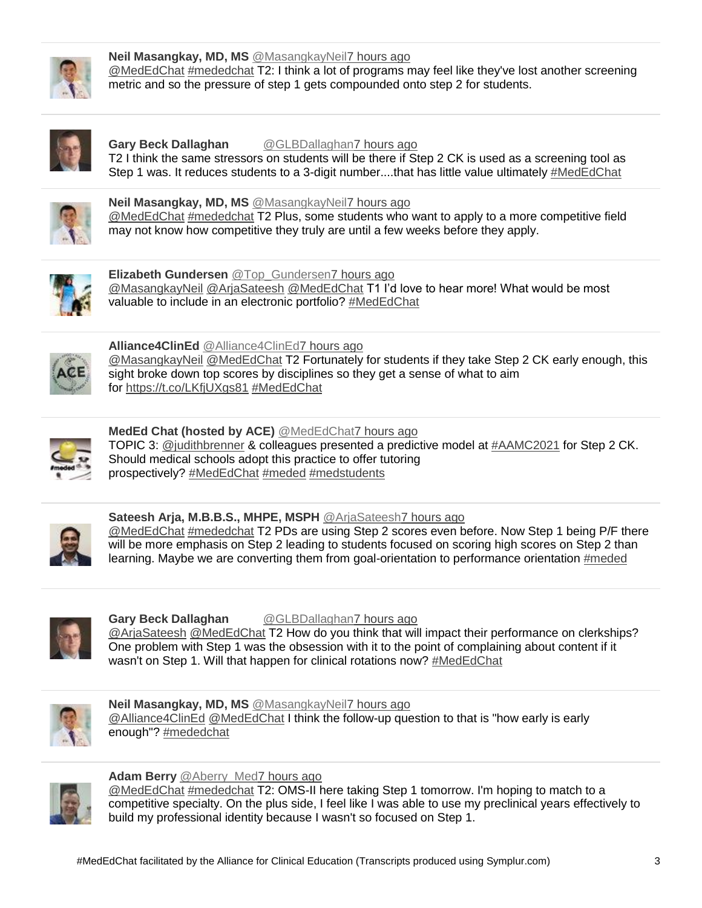

### **Neil Masangkay, MD, MS** [@MasangkayNeil7 hours ago](https://twitter.com/intent/user?screen_name=MasangkayNeil)

[@MedEdChat](http://www.twitter.com/intent/user?screen_name=MedEdChat) [#mededchat](https://www.symplur.com/healthcare-hashtags/mededchat/) T2: I think a lot of programs may feel like they've lost another screening metric and so the pressure of step 1 gets compounded onto step 2 for students.



#### **Gary Beck Dallaghan** [@GLBDallaghan7 hours ago](https://twitter.com/intent/user?screen_name=GLBDallaghan) T2 I think the same stressors on students will be there if Step 2 CK is used as a screening tool as Step 1 was. It reduces students to a 3-digit number....that has little value ultimately [#MedEdChat](https://www.symplur.com/healthcare-hashtags/MedEdChat/)



#### **Neil Masangkay, MD, MS** [@MasangkayNeil7 hours ago](https://twitter.com/intent/user?screen_name=MasangkayNeil)

[@MedEdChat](http://www.twitter.com/intent/user?screen_name=MedEdChat) [#mededchat](https://www.symplur.com/healthcare-hashtags/mededchat/) T2 Plus, some students who want to apply to a more competitive field may not know how competitive they truly are until a few weeks before they apply.



#### **Elizabeth Gundersen** [@Top\\_Gundersen7 hours ago](https://twitter.com/intent/user?screen_name=Top_Gundersen) [@MasangkayNeil](http://www.twitter.com/intent/user?screen_name=MasangkayNeil) [@ArjaSateesh](http://www.twitter.com/intent/user?screen_name=ArjaSateesh) [@MedEdChat](http://www.twitter.com/intent/user?screen_name=MedEdChat) T1 I'd love to hear more! What would be most valuable to include in an electronic portfolio? [#MedEdChat](https://www.symplur.com/healthcare-hashtags/MedEdChat/)



## **Alliance4ClinEd** [@Alliance4ClinEd7 hours ago](https://twitter.com/intent/user?screen_name=Alliance4ClinEd)

[@MasangkayNeil](http://www.twitter.com/intent/user?screen_name=MasangkayNeil) [@MedEdChat](http://www.twitter.com/intent/user?screen_name=MedEdChat) T2 Fortunately for students if they take Step 2 CK early enough, this sight broke down top scores by disciplines so they get a sense of what to aim for <https://t.co/LKfjUXgs81> [#MedEdChat](https://www.symplur.com/healthcare-hashtags/MedEdChat/)



#### **MedEd Chat (hosted by ACE)** [@MedEdChat7 hours ago](https://twitter.com/intent/user?screen_name=MedEdChat) TOPIC 3: [@judithbrenner](http://www.twitter.com/intent/user?screen_name=judithbrenner) & colleagues presented a predictive model at [#AAMC2021](https://twitter.com/hashtag/AAMC2021/) for Step 2 CK. Should medical schools adopt this practice to offer tutoring prospectively? [#MedEdChat](https://www.symplur.com/healthcare-hashtags/MedEdChat/) [#meded](https://www.symplur.com/healthcare-hashtags/meded/) [#medstudents](https://www.symplur.com/healthcare-hashtags/medstudents/)



## **Sateesh Arja, M.B.B.S., MHPE, MSPH** [@ArjaSateesh7 hours ago](https://twitter.com/intent/user?screen_name=ArjaSateesh)

[@MedEdChat](http://www.twitter.com/intent/user?screen_name=MedEdChat) [#mededchat](https://www.symplur.com/healthcare-hashtags/mededchat/) T2 PDs are using Step 2 scores even before. Now Step 1 being P/F there will be more emphasis on Step 2 leading to students focused on scoring high scores on Step 2 than learning. Maybe we are converting them from goal-orientation to performance orientation [#meded](https://www.symplur.com/healthcare-hashtags/meded/)



## **Gary Beck Dallaghan** [@GLBDallaghan7 hours ago](https://twitter.com/intent/user?screen_name=GLBDallaghan)

[@ArjaSateesh](http://www.twitter.com/intent/user?screen_name=ArjaSateesh) [@MedEdChat](http://www.twitter.com/intent/user?screen_name=MedEdChat) T2 How do you think that will impact their performance on clerkships? One problem with Step 1 was the obsession with it to the point of complaining about content if it wasn't on Step 1. Will that happen for clinical rotations now? [#MedEdChat](https://www.symplur.com/healthcare-hashtags/MedEdChat/)



## **Neil Masangkay, MD, MS** [@MasangkayNeil7 hours ago](https://twitter.com/intent/user?screen_name=MasangkayNeil)

[@Alliance4ClinEd](http://www.twitter.com/intent/user?screen_name=Alliance4ClinEd) [@MedEdChat](http://www.twitter.com/intent/user?screen_name=MedEdChat) I think the follow-up question to that is "how early is early enough"? [#mededchat](https://www.symplur.com/healthcare-hashtags/mededchat/)



#### **Adam Berry** [@Aberry\\_Med7 hours ago](https://twitter.com/intent/user?screen_name=Aberry_Med)

[@MedEdChat](http://www.twitter.com/intent/user?screen_name=MedEdChat) [#mededchat](https://www.symplur.com/healthcare-hashtags/mededchat/) T2: OMS-II here taking Step 1 tomorrow. I'm hoping to match to a competitive specialty. On the plus side, I feel like I was able to use my preclinical years effectively to build my professional identity because I wasn't so focused on Step 1.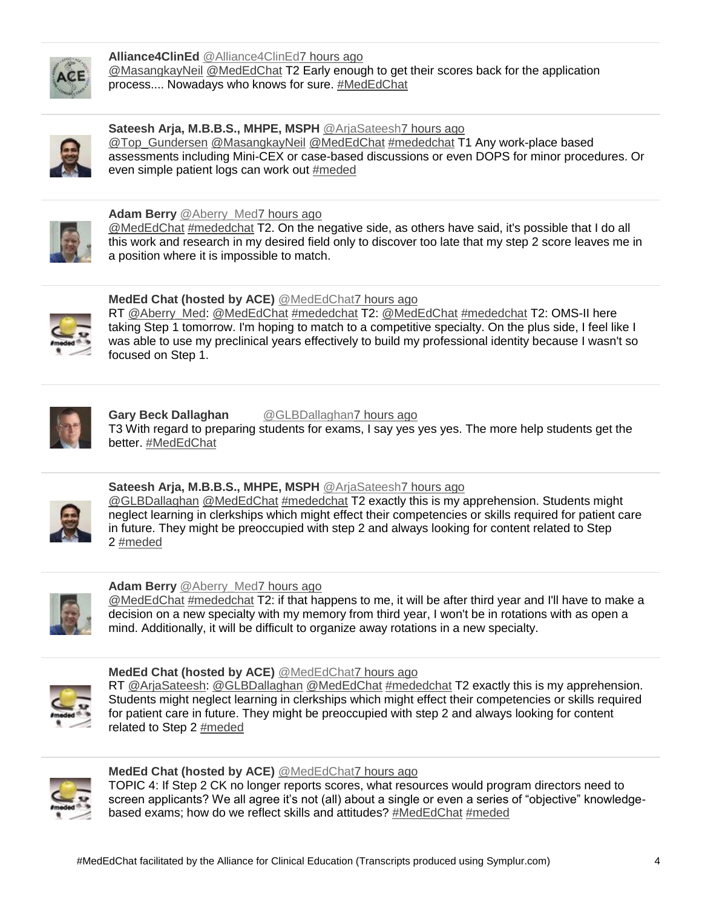

#### **Alliance4ClinEd** [@Alliance4ClinEd7 hours ago](https://twitter.com/intent/user?screen_name=Alliance4ClinEd) [@MasangkayNeil](http://www.twitter.com/intent/user?screen_name=MasangkayNeil) [@MedEdChat](http://www.twitter.com/intent/user?screen_name=MedEdChat) T2 Early enough to get their scores back for the application process.... Nowadays who knows for sure. [#MedEdChat](https://www.symplur.com/healthcare-hashtags/MedEdChat/)



## **Sateesh Arja, M.B.B.S., MHPE, MSPH** [@ArjaSateesh7 hours ago](https://twitter.com/intent/user?screen_name=ArjaSateesh)

[@Top\\_Gundersen](http://www.twitter.com/intent/user?screen_name=Top_Gundersen) [@MasangkayNeil](http://www.twitter.com/intent/user?screen_name=MasangkayNeil) [@MedEdChat](http://www.twitter.com/intent/user?screen_name=MedEdChat) [#mededchat](https://www.symplur.com/healthcare-hashtags/mededchat/) T1 Any work-place based assessments including Mini-CEX or case-based discussions or even DOPS for minor procedures. Or even simple patient logs can work out [#meded](https://www.symplur.com/healthcare-hashtags/meded/)



#### **Adam Berry** @Aberry Med7 hours ago

[@MedEdChat](http://www.twitter.com/intent/user?screen_name=MedEdChat) [#mededchat](https://www.symplur.com/healthcare-hashtags/mededchat/) T2. On the negative side, as others have said, it's possible that I do all this work and research in my desired field only to discover too late that my step 2 score leaves me in a position where it is impossible to match.



## **MedEd Chat (hosted by ACE)** [@MedEdChat7 hours ago](https://twitter.com/intent/user?screen_name=MedEdChat)

RT [@Aberry\\_Med:](http://www.twitter.com/intent/user?screen_name=Aberry_Med) [@MedEdChat](http://www.twitter.com/intent/user?screen_name=MedEdChat) [#mededchat](https://www.symplur.com/healthcare-hashtags/mededchat/) T2: [@MedEdChat](http://www.twitter.com/intent/user?screen_name=MedEdChat) [#mededchat](https://www.symplur.com/healthcare-hashtags/mededchat/) T2: OMS-II here taking Step 1 tomorrow. I'm hoping to match to a competitive specialty. On the plus side, I feel like I was able to use my preclinical years effectively to build my professional identity because I wasn't so focused on Step 1.



#### Gary Beck Dallaghan **@GLBDallaghan7** hours ago T3 With regard to preparing students for exams, I say yes yes yes. The more help students get the better. [#MedEdChat](https://www.symplur.com/healthcare-hashtags/MedEdChat/)



## **Sateesh Aria, M.B.B.S., MHPE, MSPH** @AriaSateesh7 hours ago

[@GLBDallaghan](http://www.twitter.com/intent/user?screen_name=GLBDallaghan) [@MedEdChat](http://www.twitter.com/intent/user?screen_name=MedEdChat) [#mededchat](https://www.symplur.com/healthcare-hashtags/mededchat/) T2 exactly this is my apprehension. Students might neglect learning in clerkships which might effect their competencies or skills required for patient care in future. They might be preoccupied with step 2 and always looking for content related to Step 2 [#meded](https://www.symplur.com/healthcare-hashtags/meded/)



#### **Adam Berry** @Aberry Med7 hours ago

[@MedEdChat](http://www.twitter.com/intent/user?screen_name=MedEdChat) [#mededchat](https://www.symplur.com/healthcare-hashtags/mededchat/) T2: if that happens to me, it will be after third year and I'll have to make a decision on a new specialty with my memory from third year, I won't be in rotations with as open a mind. Additionally, it will be difficult to organize away rotations in a new specialty.



## **MedEd Chat (hosted by ACE)** [@MedEdChat7 hours ago](https://twitter.com/intent/user?screen_name=MedEdChat)

RT [@ArjaSateesh:](http://www.twitter.com/intent/user?screen_name=ArjaSateesh) [@GLBDallaghan](http://www.twitter.com/intent/user?screen_name=GLBDallaghan) [@MedEdChat](http://www.twitter.com/intent/user?screen_name=MedEdChat) [#mededchat](https://www.symplur.com/healthcare-hashtags/mededchat/) T2 exactly this is my apprehension. Students might neglect learning in clerkships which might effect their competencies or skills required for patient care in future. They might be preoccupied with step 2 and always looking for content related to Step 2 [#meded](https://www.symplur.com/healthcare-hashtags/meded/)



## **MedEd Chat (hosted by ACE)** [@MedEdChat7 hours ago](https://twitter.com/intent/user?screen_name=MedEdChat)

TOPIC 4: If Step 2 CK no longer reports scores, what resources would program directors need to screen applicants? We all agree it's not (all) about a single or even a series of "objective" knowledge-based exams; how do we reflect skills and attitudes? [#MedEdChat](https://www.symplur.com/healthcare-hashtags/MedEdChat/) [#meded](https://www.symplur.com/healthcare-hashtags/meded/)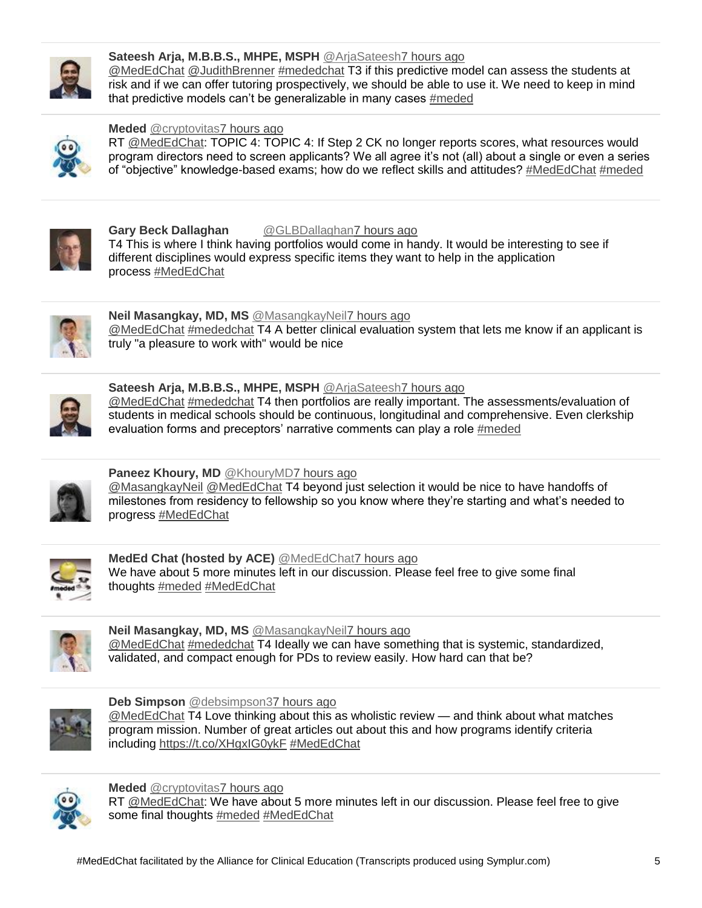

## **Sateesh Arja, M.B.B.S., MHPE, MSPH** [@ArjaSateesh7 hours ago](https://twitter.com/intent/user?screen_name=ArjaSateesh)

[@MedEdChat](http://www.twitter.com/intent/user?screen_name=MedEdChat) [@JudithBrenner](http://www.twitter.com/intent/user?screen_name=JudithBrenner) [#mededchat](https://www.symplur.com/healthcare-hashtags/mededchat/) T3 if this predictive model can assess the students at risk and if we can offer tutoring prospectively, we should be able to use it. We need to keep in mind that predictive models can't be generalizable in many cases [#meded](https://www.symplur.com/healthcare-hashtags/meded/) 



#### **Meded** [@cryptovitas7 hours ago](https://twitter.com/intent/user?screen_name=cryptovitas)

RT [@MedEdChat:](http://www.twitter.com/intent/user?screen_name=MedEdChat) TOPIC 4: TOPIC 4: If Step 2 CK no longer reports scores, what resources would program directors need to screen applicants? We all agree it's not (all) about a single or even a series of "objective" knowledge-based exams; how do we reflect skills and attitudes? [#MedEdChat](https://www.symplur.com/healthcare-hashtags/MedEdChat/) [#meded](https://www.symplur.com/healthcare-hashtags/meded/)



#### **Gary Beck Dallaghan** [@GLBDallaghan7 hours ago](https://twitter.com/intent/user?screen_name=GLBDallaghan)

T4 This is where I think having portfolios would come in handy. It would be interesting to see if different disciplines would express specific items they want to help in the application process [#MedEdChat](https://www.symplur.com/healthcare-hashtags/MedEdChat/)



## **Neil Masangkay, MD, MS** [@MasangkayNeil7 hours ago](https://twitter.com/intent/user?screen_name=MasangkayNeil)

[@MedEdChat](http://www.twitter.com/intent/user?screen_name=MedEdChat) [#mededchat](https://www.symplur.com/healthcare-hashtags/mededchat/) T4 A better clinical evaluation system that lets me know if an applicant is truly "a pleasure to work with" would be nice



## **Sateesh Arja, M.B.B.S., MHPE, MSPH** [@ArjaSateesh7 hours ago](https://twitter.com/intent/user?screen_name=ArjaSateesh)

[@MedEdChat](http://www.twitter.com/intent/user?screen_name=MedEdChat) [#mededchat](https://www.symplur.com/healthcare-hashtags/mededchat/) T4 then portfolios are really important. The assessments/evaluation of students in medical schools should be continuous, longitudinal and comprehensive. Even clerkship evaluation forms and preceptors' narrative comments can play a role [#meded](https://www.symplur.com/healthcare-hashtags/meded/)



## Paneez Khoury, MD [@KhouryMD7](https://twitter.com/intent/user?screen_name=KhouryMD) [hours ago](https://twitter.com/intent/user?screen_name=KhouryMD)

[@MasangkayNeil](http://www.twitter.com/intent/user?screen_name=MasangkayNeil) [@MedEdChat](http://www.twitter.com/intent/user?screen_name=MedEdChat) T4 beyond just selection it would be nice to have handoffs of milestones from residency to fellowship so you know where they're starting and what's needed to progress [#MedEdChat](https://www.symplur.com/healthcare-hashtags/MedEdChat/)



#### **MedEd Chat (hosted by ACE)** [@MedEdChat7 hours ago](https://twitter.com/intent/user?screen_name=MedEdChat) We have about 5 more minutes left in our discussion. Please feel free to give some final thoughts [#meded](https://www.symplur.com/healthcare-hashtags/meded/) [#MedEdChat](https://www.symplur.com/healthcare-hashtags/MedEdChat/)



## **Neil Masangkay, MD, MS** [@MasangkayNeil7 hours ago](https://twitter.com/intent/user?screen_name=MasangkayNeil)

[@MedEdChat](http://www.twitter.com/intent/user?screen_name=MedEdChat) [#mededchat](https://www.symplur.com/healthcare-hashtags/mededchat/) T4 Ideally we can have something that is systemic, standardized, validated, and compact enough for PDs to review easily. How hard can that be?



#### **Deb Simpson** [@debsimpson37 hours ago](https://twitter.com/intent/user?screen_name=debsimpson3)

[@MedEdChat](http://www.twitter.com/intent/user?screen_name=MedEdChat) T4 Love thinking about this as wholistic review — and think about what matches program mission. Number of great articles out about this and how programs identify criteria including <https://t.co/XHgxIG0ykF> [#MedEdChat](https://www.symplur.com/healthcare-hashtags/MedEdChat/)



#### **Meded** [@cryptovitas7 hours ago](https://twitter.com/intent/user?screen_name=cryptovitas)

RT [@MedEdChat:](http://www.twitter.com/intent/user?screen_name=MedEdChat) We have about 5 more minutes left in our discussion. Please feel free to give some final thoughts [#meded](https://www.symplur.com/healthcare-hashtags/meded/) [#MedEdChat](https://www.symplur.com/healthcare-hashtags/MedEdChat/)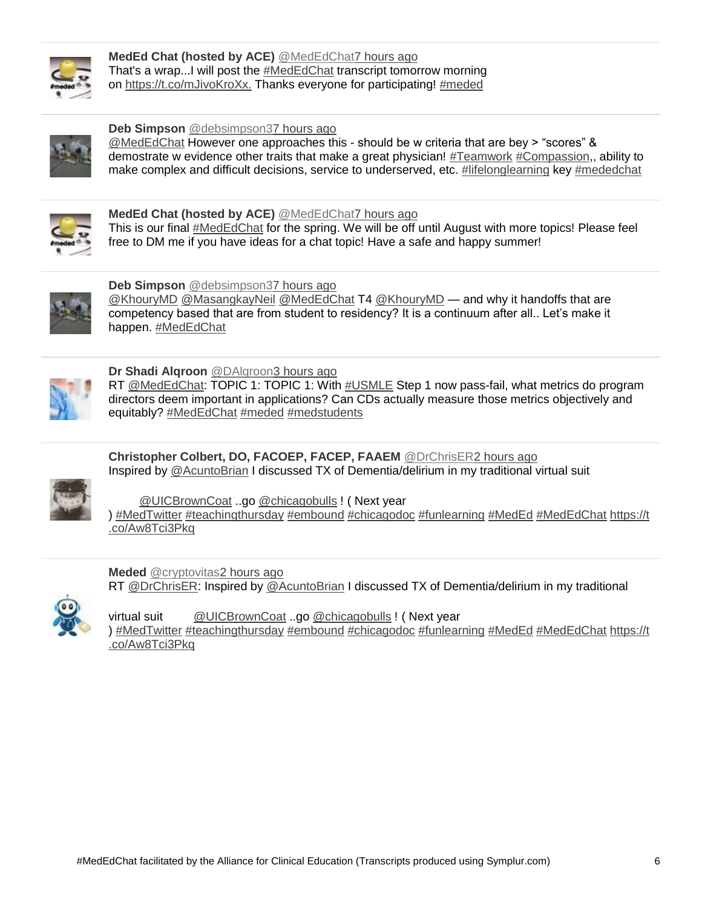

**MedEd Chat (hosted by ACE)** [@MedEdChat7 hours ago](https://twitter.com/intent/user?screen_name=MedEdChat) That's a wrap...I will post the [#MedEdChat](https://www.symplur.com/healthcare-hashtags/MedEdChat/) transcript tomorrow morning on <https://t.co/mJivoKroXx.> Thanks everyone for participating! [#meded](https://www.symplur.com/healthcare-hashtags/meded/)



**Deb Simpson** [@debsimpson37 hours ago](https://twitter.com/intent/user?screen_name=debsimpson3)

[@MedEdChat](http://www.twitter.com/intent/user?screen_name=MedEdChat) However one approaches this - should be w criteria that are bey > "scores" & demostrate w evidence other traits that make a great physician! [#Teamwork](https://twitter.com/hashtag/Teamwork/) [#Compassion,](https://twitter.com/hashtag/Compassion/), ability to make complex and difficult decisions, service to underserved, etc. [#lifelonglearning](https://twitter.com/hashtag/lifelonglearning/) key [#mededchat](https://www.symplur.com/healthcare-hashtags/mededchat/)



**MedEd Chat (hosted by ACE)** [@MedEdChat7 hours ago](https://twitter.com/intent/user?screen_name=MedEdChat) This is our final [#MedEdChat](https://www.symplur.com/healthcare-hashtags/MedEdChat/) for the spring. We will be off until August with more topics! Please feel free to DM me if you have ideas for a chat topic! Have a safe and happy summer!



**Deb Simpson** [@debsimpson37 hours ago](https://twitter.com/intent/user?screen_name=debsimpson3)

[@KhouryMD](http://www.twitter.com/intent/user?screen_name=KhouryMD) [@MasangkayNeil](http://www.twitter.com/intent/user?screen_name=MasangkayNeil) [@MedEdChat](http://www.twitter.com/intent/user?screen_name=MedEdChat) T4 [@KhouryMD](http://www.twitter.com/intent/user?screen_name=KhouryMD) — and why it handoffs that are competency based that are from student to residency? It is a continuum after all.. Let's make it happen. [#MedEdChat](https://www.symplur.com/healthcare-hashtags/MedEdChat/)



**Dr Shadi Alqroon** [@DAlqroon3 hours ago](https://twitter.com/intent/user?screen_name=DAlqroon)

RT [@MedEdChat:](http://www.twitter.com/intent/user?screen_name=MedEdChat) TOPIC 1: TOPIC 1: With [#USMLE](https://www.symplur.com/healthcare-hashtags/USMLE/) Step 1 now pass-fail, what metrics do program directors deem important in applications? Can CDs actually measure those metrics objectively and equitably? [#MedEdChat](https://www.symplur.com/healthcare-hashtags/MedEdChat/) [#meded](https://www.symplur.com/healthcare-hashtags/meded/) [#medstudents](https://www.symplur.com/healthcare-hashtags/medstudents/)

**Christopher Colbert, DO, FACOEP, FACEP, FAAEM** [@DrChrisER2 hours ago](https://twitter.com/intent/user?screen_name=DrChrisER) Inspired by [@AcuntoBrian](http://www.twitter.com/intent/user?screen_name=AcuntoBrian) I discussed TX of Dementia/delirium in my traditional virtual suit



[@UICBrownCoat](http://www.twitter.com/intent/user?screen_name=UICBrownCoat) ..go [@chicagobulls](http://www.twitter.com/intent/user?screen_name=chicagobulls) ! ( Next year

) [#MedTwitter](https://www.symplur.com/healthcare-hashtags/MedTwitter/) [#teachingthursday](https://twitter.com/hashtag/teachingthursday/) [#embound](https://twitter.com/hashtag/embound/) [#chicagodoc](https://twitter.com/hashtag/chicagodoc/) [#funlearning](https://twitter.com/hashtag/funlearning/) [#MedEd](https://www.symplur.com/healthcare-hashtags/MedEd/) [#MedEdChat](https://www.symplur.com/healthcare-hashtags/MedEdChat/) [https://t](https://t.co/Aw8Tci3Pkq) [.co/Aw8Tci3Pkq](https://t.co/Aw8Tci3Pkq)



**Meded** [@cryptovitas2 hours ago](https://twitter.com/intent/user?screen_name=cryptovitas) RT [@DrChrisER:](http://www.twitter.com/intent/user?screen_name=DrChrisER) Inspired by [@AcuntoBrian](http://www.twitter.com/intent/user?screen_name=AcuntoBrian) I discussed TX of Dementia/delirium in my traditional

virtual suit [@UICBrownCoat](http://www.twitter.com/intent/user?screen_name=UICBrownCoat) ..go [@chicagobulls](http://www.twitter.com/intent/user?screen_name=chicagobulls) ! ( Next year ) [#MedTwitter](https://www.symplur.com/healthcare-hashtags/MedTwitter/) [#teachingthursday](https://twitter.com/hashtag/teachingthursday/) [#embound](https://twitter.com/hashtag/embound/) [#chicagodoc](https://twitter.com/hashtag/chicagodoc/) [#funlearning](https://twitter.com/hashtag/funlearning/) [#MedEd](https://www.symplur.com/healthcare-hashtags/MedEd/) [#MedEdChat](https://www.symplur.com/healthcare-hashtags/MedEdChat/) [https://t](https://t.co/Aw8Tci3Pkq) [.co/Aw8Tci3Pkq](https://t.co/Aw8Tci3Pkq)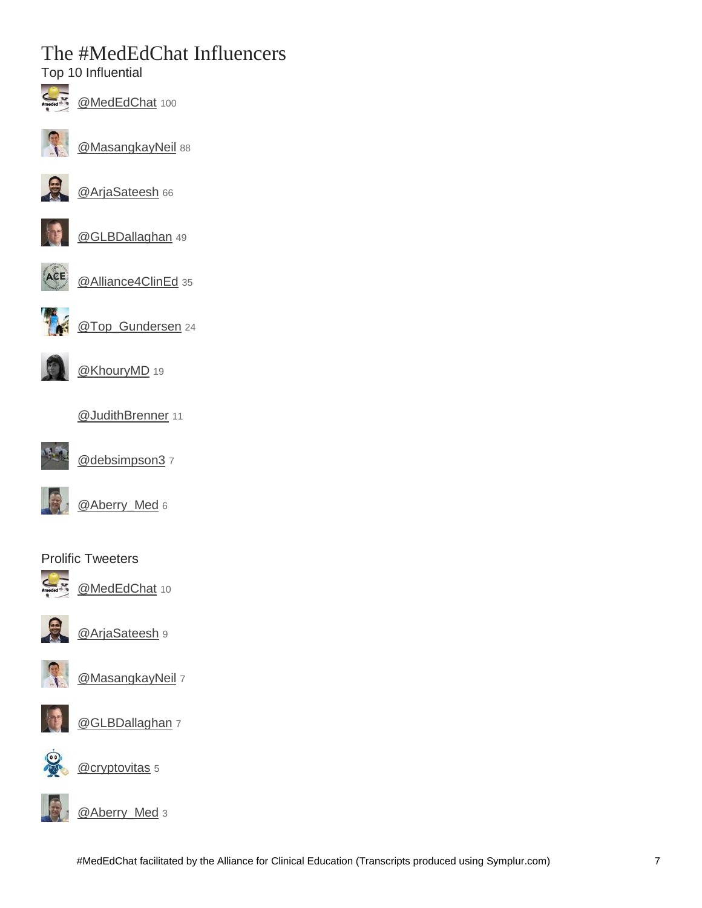# The #MedEdChat Influencers

Top 10 Influential



[@MedEdChat](https://twitter.com/intent/user?screen_name=MedEdChat) 100



[@MasangkayNeil](https://twitter.com/intent/user?screen_name=MasangkayNeil) 88



[@ArjaSateesh](https://twitter.com/intent/user?screen_name=ArjaSateesh) 66



[@GLBDallaghan](https://twitter.com/intent/user?screen_name=GLBDallaghan) 49



[@Alliance4ClinEd](https://twitter.com/intent/user?screen_name=Alliance4ClinEd) 35



[@Top\\_Gundersen](https://twitter.com/intent/user?screen_name=Top_Gundersen) 24



[@KhouryMD](https://twitter.com/intent/user?screen_name=KhouryMD) 19





[@debsimpson3](https://twitter.com/intent/user?screen_name=debsimpson3) 7



[@Aberry\\_Med](https://twitter.com/intent/user?screen_name=Aberry_Med) 6

## Prolific Tweeters



[@MedEdChat](https://twitter.com/intent/user?screen_name=MedEdChat) 10



[@ArjaSateesh](https://twitter.com/intent/user?screen_name=ArjaSateesh) 9



[@MasangkayNeil](https://twitter.com/intent/user?screen_name=MasangkayNeil) 7



[@GLBDallaghan](https://twitter.com/intent/user?screen_name=GLBDallaghan) 7



[@cryptovitas](https://twitter.com/intent/user?screen_name=cryptovitas) 5



[@Aberry\\_Med](https://twitter.com/intent/user?screen_name=Aberry_Med) 3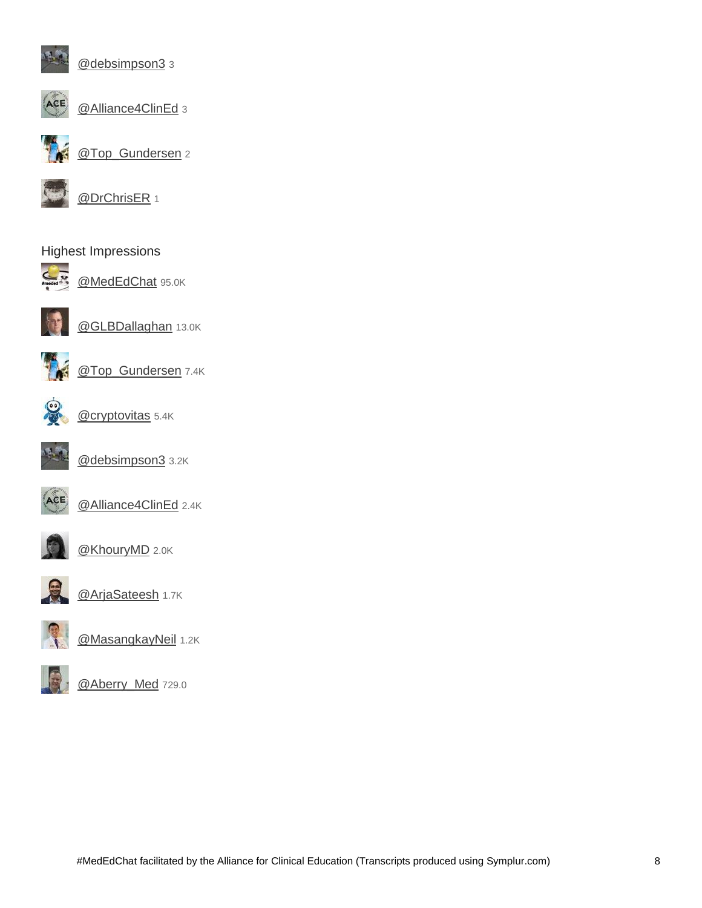

[@debsimpson3](https://twitter.com/intent/user?screen_name=debsimpson3) 3



[@Alliance4ClinEd](https://twitter.com/intent/user?screen_name=Alliance4ClinEd) 3



[@Top\\_Gundersen](https://twitter.com/intent/user?screen_name=Top_Gundersen) 2



[@DrChrisER](https://twitter.com/intent/user?screen_name=DrChrisER) 1

## Highest Impressions



[@MedEdChat](https://twitter.com/intent/user?screen_name=MedEdChat) 95.0K



[@GLBDallaghan](https://twitter.com/intent/user?screen_name=GLBDallaghan) 13.0K



[@Top\\_Gundersen](https://twitter.com/intent/user?screen_name=Top_Gundersen) 7.4K



[@cryptovitas](https://twitter.com/intent/user?screen_name=cryptovitas) 5.4K



[@debsimpson3](https://twitter.com/intent/user?screen_name=debsimpson3) 3.2K



[@Alliance4ClinEd](https://twitter.com/intent/user?screen_name=Alliance4ClinEd) 2.4K



[@KhouryMD](https://twitter.com/intent/user?screen_name=KhouryMD) 2.0K



[@ArjaSateesh](https://twitter.com/intent/user?screen_name=ArjaSateesh) 1.7K



[@MasangkayNeil](https://twitter.com/intent/user?screen_name=MasangkayNeil) 1.2K



[@Aberry\\_Med](https://twitter.com/intent/user?screen_name=Aberry_Med) 729.0